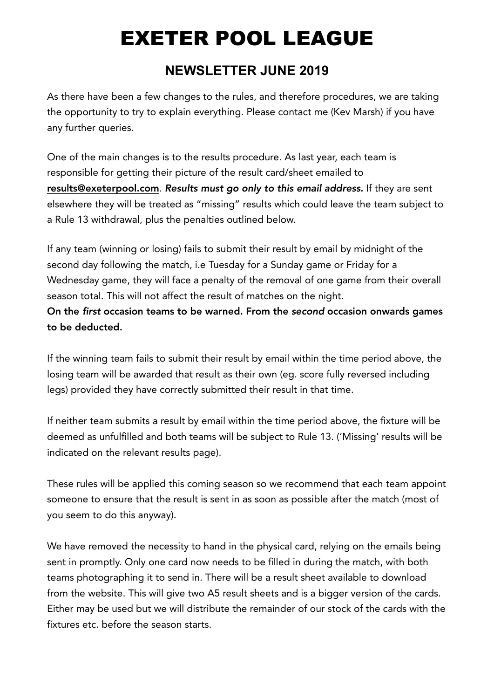## EXETER POOL LEAGUE

## **NEWSLETTER JUNE 2019**

As there have been a few changes to the rules, and therefore procedures, we are taking the opportunity to try to explain everything. Please contact me (Kev Marsh) if you have any further queries.

One of the main changes is to the results procedure. As last year, each team is responsible for getting their picture of the result card/sheet emailed to results@exeterpool.com. *Results must go only to this email address.* If they are sent elsewhere they will be treated as "missing" results which could leave the team subject to a Rule 13 withdrawal, plus the penalties outlined below.

If any team (winning or losing) fails to submit their result by email by midnight of the second day following the match, i.e Tuesday for a Sunday game or Friday for a Wednesday game, they will face a penalty of the removal of one game from their overall season total. This will not affect the result of matches on the night.

On the *first* occasion teams to be warned. From the *second* occasion onwards games to be deducted.

If the winning team fails to submit their result by email within the time period above, the losing team will be awarded that result as their own (eg. score fully reversed including legs) provided they have correctly submitted their result in that time.

If neither team submits a result by email within the time period above, the fixture will be deemed as unfulfilled and both teams will be subject to Rule 13. ('Missing' results will be indicated on the relevant results page).

These rules will be applied this coming season so we recommend that each team appoint someone to ensure that the result is sent in as soon as possible after the match (most of you seem to do this anyway).

We have removed the necessity to hand in the physical card, relying on the emails being sent in promptly. Only one card now needs to be filled in during the match, with both teams photographing it to send in. There will be a result sheet available to download from the website. This will give two A5 result sheets and is a bigger version of the cards. Either may be used but we will distribute the remainder of our stock of the cards with the fixtures etc. before the season starts.